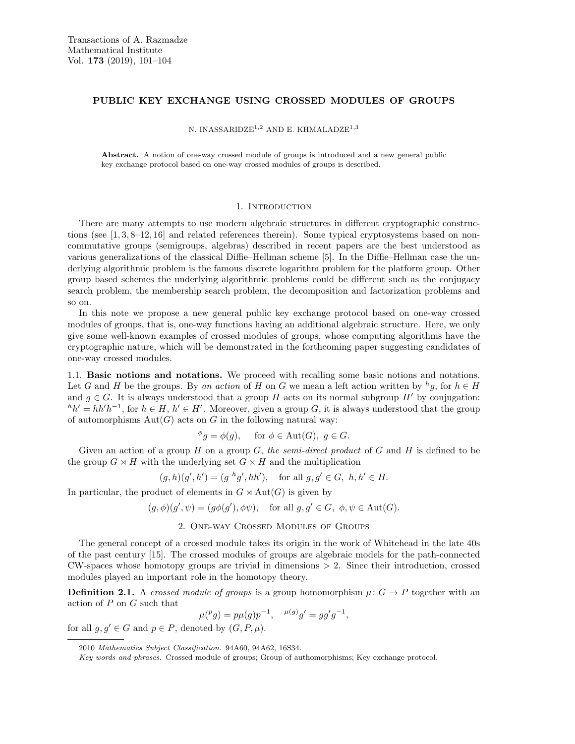# PUBLIC KEY EXCHANGE USING CROSSED MODULES OF GROUPS

N. INASSARIDZE<sup>1,2</sup> AND E. KHMALADZE<sup>1,3</sup>

Abstract. A notion of one-way crossed module of groups is introduced and a new general public key exchange protocol based on one-way crossed modules of groups is described.

## 1. INTRODUCTION

There are many attempts to use modern algebraic structures in different cryptographic constructions (see [1, 3, 8–12, 16] and related references therein). Some typical cryptosystems based on noncommutative groups (semigroups, algebras) described in recent papers are the best understood as various generalizations of the classical Diffie–Hellman scheme [5]. In the Diffie–Hellman case the underlying algorithmic problem is the famous discrete logarithm problem for the platform group. Other group based schemes the underlying algorithmic problems could be different such as the conjugacy search problem, the membership search problem, the decomposition and factorization problems and so on.

In this note we propose a new general public key exchange protocol based on one-way crossed modules of groups, that is, one-way functions having an additional algebraic structure. Here, we only give some well-known examples of crossed modules of groups, whose computing algorithms have the cryptographic nature, which will be demonstrated in the forthcoming paper suggesting candidates of one-way crossed modules.

1.1. Basic notions and notations. We proceed with recalling some basic notions and notations. Let G and H be the groups. By an action of H on G we mean a left action written by  ${}^h g$ , for  $h \in H$ and  $g \in G$ . It is always understood that a group H acts on its normal subgroup H' by conjugation:  ${}^h h' = h h' h^{-1}$ , for  $h \in H$ ,  $h' \in H'$ . Moreover, given a group G, it is always understood that the group of automorphisms  $Aut(G)$  acts on G in the following natural way:

$$
\phi_g = \phi(g)
$$
, for  $\phi \in \text{Aut}(G)$ ,  $g \in G$ .

Given an action of a group H on a group G, the semi-direct product of G and H is defined to be the group  $G \rtimes H$  with the underlying set  $G \times H$  and the multiplication

$$
(g, h)(g', h') = (g h g', hh'),
$$
 for all  $g, g' \in G$ ,  $h, h' \in H$ .

In particular, the product of elements in  $G \rtimes \text{Aut}(G)$  is given by

$$
(g, \phi)(g', \psi) = (g\phi(g'), \phi\psi),
$$
 for all  $g, g' \in G$ ,  $\phi, \psi \in \text{Aut}(G)$ .

# 2. One-way Crossed Modules of Groups

The general concept of a crossed module takes its origin in the work of Whitehead in the late 40s of the past century [15]. The crossed modules of groups are algebraic models for the path-connected  $CW\text{-spaces whose homotopy groups are trivial in dimensions } > 2$ . Since their introduction, crossed modules played an important role in the homotopy theory.

**Definition 2.1.** A crossed module of groups is a group homomorphism  $\mu: G \to P$  together with an action of  $P$  on  $G$  such that

$$
\mu({}^pg) = p\mu(g)p^{-1}, \quad \mu(g)g' = gg'g^{-1},
$$

for all  $g, g' \in G$  and  $p \in P$ , denoted by  $(G, P, \mu)$ .

<sup>2010</sup> Mathematics Subject Classification. 94A60, 94A62, 16S34.

Key words and phrases. Crossed module of groups; Group of authomorphisms; Key exchange protocol.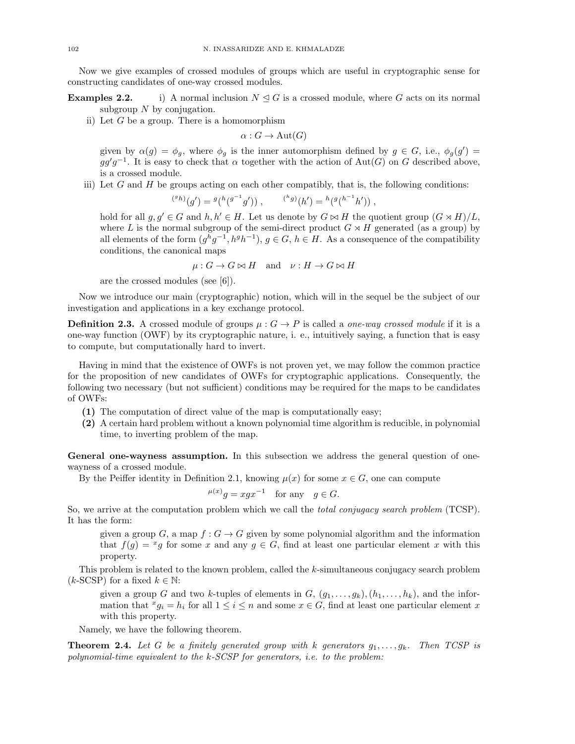Now we give examples of crossed modules of groups which are useful in cryptographic sense for constructing candidates of one-way crossed modules.

**Examples 2.2.** i) A normal inclusion  $N \trianglelefteq G$  is a crossed module, where G acts on its normal subgroup  $N$  by conjugation.

ii) Let  $G$  be a group. There is a homomorphism

 $\alpha: G \to \text{Aut}(G)$ 

given by  $\alpha(g) = \phi_g$ , where  $\phi_g$  is the inner automorphism defined by  $g \in G$ , i.e.,  $\phi_g(g') =$  $gg'g^{-1}$ . It is easy to check that  $\alpha$  together with the action of Aut(G) on G described above, is a crossed module.

iii) Let  $G$  and  $H$  be groups acting on each other compatibly, that is, the following conditions:

$$
^{(^{g}h)}(g') = {}^{g}(h(g^{-1}g')) , \qquad {}^{(h}g)(h') = {}^{h}({}^{g}(h^{-1}h')) ,
$$

hold for all  $g, g' \in G$  and  $h, h' \in H$ . Let us denote by  $G \bowtie H$  the quotient group  $(G \rtimes H)/L$ , where L is the normal subgroup of the semi-direct product  $G \rtimes H$  generated (as a group) by all elements of the form  $(g^h g^{-1}, h^g h^{-1})$ ,  $g \in G$ ,  $h \in H$ . As a consequence of the compatibility conditions, the canonical maps

 $\mu: G \to G \bowtie H$  and  $\nu: H \to G \bowtie H$ 

are the crossed modules (see [6]).

Now we introduce our main (cryptographic) notion, which will in the sequel be the subject of our investigation and applications in a key exchange protocol.

**Definition 2.3.** A crossed module of groups  $\mu : G \to P$  is called a *one-way crossed module* if it is a one-way function (OWF) by its cryptographic nature, i. e., intuitively saying, a function that is easy to compute, but computationally hard to invert.

Having in mind that the existence of OWFs is not proven yet, we may follow the common practice for the proposition of new candidates of OWFs for cryptographic applications. Consequently, the following two necessary (but not sufficient) conditions may be required for the maps to be candidates of OWFs:

- (1) The computation of direct value of the map is computationally easy;
- (2) A certain hard problem without a known polynomial time algorithm is reducible, in polynomial time, to inverting problem of the map.

General one-wayness assumption. In this subsection we address the general question of onewayness of a crossed module.

By the Peiffer identity in Definition 2.1, knowing  $\mu(x)$  for some  $x \in G$ , one can compute

$$
^{\mu(x)}g = xgx^{-1} \text{ for any } g \in G.
$$

So, we arrive at the computation problem which we call the *total conjugacy search problem* (TCSP). It has the form:

given a group G, a map  $f: G \to G$  given by some polynomial algorithm and the information that  $f(g) = {}^x g$  for some x and any  $g \in G$ , find at least one particular element x with this property.

This problem is related to the known problem, called the k-simultaneous conjugacy search problem  $(k\text{-SCSP})$  for a fixed  $k \in \mathbb{N}$ :

given a group G and two k-tuples of elements in  $G$ ,  $(g_1, \ldots, g_k), (h_1, \ldots, h_k)$ , and the information that  $x_i = h_i$  for all  $1 \leq i \leq n$  and some  $x \in G$ , find at least one particular element x with this property.

Namely, we have the following theorem.

**Theorem 2.4.** Let G be a finitely generated group with k generators  $g_1, \ldots, g_k$ . Then TCSP is polynomial-time equivalent to the  $k$ -SCSP for generators, i.e. to the problem: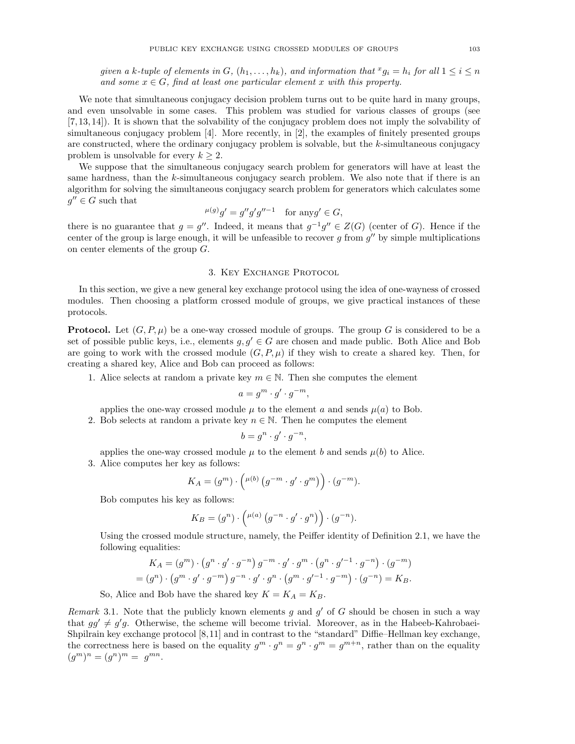given a k-tuple of elements in  $G, (h_1, \ldots, h_k)$ , and information that  $x_i = h_i$  for all  $1 \leq i \leq n$ and some  $x \in G$ , find at least one particular element x with this property.

We note that simultaneous conjugacy decision problem turns out to be quite hard in many groups, and even unsolvable in some cases. This problem was studied for various classes of groups (see [7, 13, 14]). It is shown that the solvability of the conjugacy problem does not imply the solvability of simultaneous conjugacy problem [4]. More recently, in [2], the examples of finitely presented groups are constructed, where the ordinary conjugacy problem is solvable, but the  $k$ -simultaneous conjugacy problem is unsolvable for every  $k \geq 2$ .

We suppose that the simultaneous conjugacy search problem for generators will have at least the same hardness, than the  $k$ -simultaneous conjugacy search problem. We also note that if there is an algorithm for solving the simultaneous conjugacy search problem for generators which calculates some  $g'' \in G$  such that

$$
^{\mu(g)}g' = g''g'g''^{-1} \quad \text{for any } g' \in G,
$$

there is no guarantee that  $g = g''$ . Indeed, it means that  $g^{-1}g'' \in Z(G)$  (center of G). Hence if the center of the group is large enough, it will be unfeasible to recover  $g$  from  $g''$  by simple multiplications on center elements of the group G.

#### 3. KEY EXCHANGE PROTOCOL

In this section, we give a new general key exchange protocol using the idea of one-wayness of crossed modules. Then choosing a platform crossed module of groups, we give practical instances of these protocols.

**Protocol.** Let  $(G, P, \mu)$  be a one-way crossed module of groups. The group G is considered to be a set of possible public keys, i.e., elements  $g, g' \in G$  are chosen and made public. Both Alice and Bob are going to work with the crossed module  $(G, P, \mu)$  if they wish to create a shared key. Then, for creating a shared key, Alice and Bob can proceed as follows:

1. Alice selects at random a private key  $m \in \mathbb{N}$ . Then she computes the element

$$
a = g^m \cdot g' \cdot g^{-m},
$$

applies the one-way crossed module  $\mu$  to the element a and sends  $\mu(a)$  to Bob.

2. Bob selects at random a private key  $n \in \mathbb{N}$ . Then he computes the element

$$
b = g^n \cdot g' \cdot g^{-n},
$$

applies the one-way crossed module  $\mu$  to the element b and sends  $\mu(b)$  to Alice. 3. Alice computes her key as follows:

$$
K_A = (g^m) \cdot \left( \mu^{(b)} \left( g^{-m} \cdot g' \cdot g^m \right) \right) \cdot (g^{-m}).
$$

Bob computes his key as follows:

$$
K_B = (g^n) \cdot \left( \mu^{(a)} \left( g^{-n} \cdot g' \cdot g^n \right) \right) \cdot (g^{-n}).
$$

Using the crossed module structure, namely, the Peiffer identity of Definition 2.1, we have the following equalities:

$$
K_A = (g^m) \cdot (g^n \cdot g' \cdot g^{-n}) g^{-m} \cdot g' \cdot g^m \cdot (g^n \cdot g'^{-1} \cdot g^{-n}) \cdot (g^{-m})
$$
  
=  $(g^n) \cdot (g^m \cdot g' \cdot g^{-m}) g^{-n} \cdot g' \cdot g^n \cdot (g^m \cdot g'^{-1} \cdot g^{-m}) \cdot (g^{-n}) = K_B.$ 

So, Alice and Bob have the shared key  $K = K_A = K_B$ .

Remark 3.1. Note that the publicly known elements  $g$  and  $g'$  of  $G$  should be chosen in such a way that  $gg' \neq g'g$ . Otherwise, the scheme will become trivial. Moreover, as in the Habeeb-Kahrobaei-Shpilrain key exchange protocol [8,11] and in contrast to the "standard" Diffie–Hellman key exchange, the correctness here is based on the equality  $g^m \cdot g^n = g^n \cdot g^m = g^{m+n}$ , rather than on the equality  $(g^m)^n = (g^n)^m = g^{mn}.$